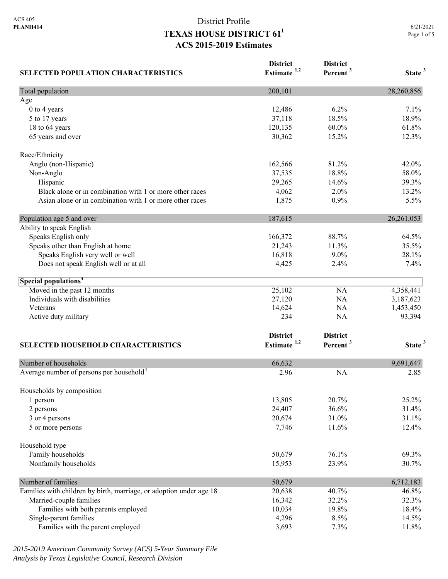**SELECTED POPULATION CHARACTERISTICS**

## District Profile **TEXAS HOUSE DISTRICT 611 ACS 2015-2019 Estimates**

**District Estimate 1,2**  **District** 

**Percent <sup>3</sup> State <sup>3</sup>**

| Total population                                                    | 200,101                 |                      | 28,260,856         |
|---------------------------------------------------------------------|-------------------------|----------------------|--------------------|
| Age                                                                 |                         |                      |                    |
| 0 to 4 years                                                        | 12,486                  | 6.2%                 | 7.1%               |
| 5 to 17 years                                                       | 37,118                  | 18.5%                | 18.9%              |
| 18 to 64 years                                                      | 120,135                 | 60.0%                | 61.8%              |
| 65 years and over                                                   | 30,362                  | 15.2%                | 12.3%              |
| Race/Ethnicity                                                      |                         |                      |                    |
| Anglo (non-Hispanic)                                                | 162,566                 | 81.2%                | 42.0%              |
| Non-Anglo                                                           | 37,535                  | 18.8%                | 58.0%              |
| Hispanic                                                            | 29,265                  | 14.6%                | 39.3%              |
| Black alone or in combination with 1 or more other races            | 4,062                   | 2.0%                 | 13.2%              |
| Asian alone or in combination with 1 or more other races            | 1,875                   | 0.9%                 | 5.5%               |
| Population age 5 and over                                           | 187,615                 |                      | 26, 261, 053       |
| Ability to speak English                                            |                         |                      |                    |
| Speaks English only                                                 | 166,372                 | 88.7%                | 64.5%              |
| Speaks other than English at home                                   | 21,243                  | 11.3%                | 35.5%              |
| Speaks English very well or well                                    | 16,818                  | $9.0\%$              | 28.1%              |
| Does not speak English well or at all                               | 4,425                   | 2.4%                 | 7.4%               |
| Special populations <sup>4</sup>                                    |                         |                      |                    |
| Moved in the past 12 months                                         | 25,102                  | <b>NA</b>            | 4,358,441          |
| Individuals with disabilities                                       | 27,120                  | NA                   | 3,187,623          |
| Veterans                                                            | 14,624                  | NA                   | 1,453,450          |
| Active duty military                                                | 234                     | <b>NA</b>            | 93,394             |
|                                                                     | <b>District</b>         | <b>District</b>      |                    |
| SELECTED HOUSEHOLD CHARACTERISTICS                                  | Estimate <sup>1,2</sup> | Percent <sup>3</sup> | State <sup>3</sup> |
|                                                                     |                         |                      |                    |
| Number of households                                                | 66,632                  |                      | 9,691,647          |
| Average number of persons per household <sup>4</sup>                | 2.96                    | <b>NA</b>            | 2.85               |
|                                                                     |                         |                      |                    |
| Households by composition                                           |                         | 20.7%                | 25.2%              |
| 1 person                                                            | 13,805                  |                      |                    |
| 2 persons                                                           | 24,407                  | 36.6%                | 31.4%<br>31.1%     |
| 3 or 4 persons<br>5 or more persons                                 | 20,674<br>7,746         | 31.0%<br>11.6%       | 12.4%              |
|                                                                     |                         |                      |                    |
| Household type                                                      |                         |                      |                    |
| Family households<br>Nonfamily households                           | 50,679<br>15,953        | 76.1%<br>23.9%       | 69.3%<br>30.7%     |
|                                                                     |                         |                      |                    |
| Number of families                                                  | 50,679                  |                      | 6,712,183          |
| Families with children by birth, marriage, or adoption under age 18 | 20,638                  | 40.7%                | 46.8%              |
| Married-couple families                                             | 16,342                  | 32.2%                | 32.3%              |
| Families with both parents employed                                 | 10,034                  | 19.8%                | 18.4%              |
| Single-parent families<br>Families with the parent employed         | 4,296<br>3,693          | 8.5%<br>7.3%         | 14.5%<br>11.8%     |

*2015-2019 American Community Survey (ACS) 5-Year Summary File Analysis by Texas Legislative Council, Research Division*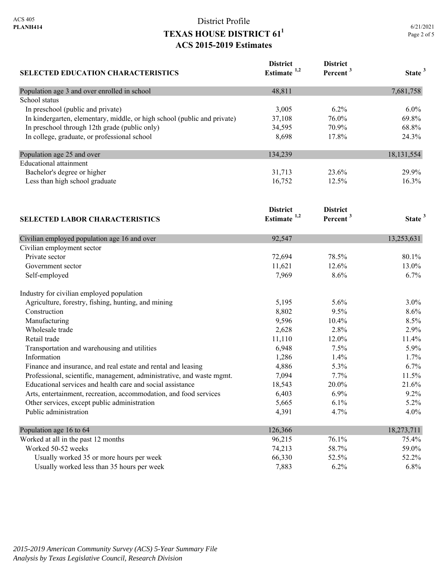# District Profile **TEXAS HOUSE DISTRICT 611 ACS 2015-2019 Estimates**

| <b>SELECTED EDUCATION CHARACTERISTICS</b>                                | <b>District</b><br>Estimate <sup>1,2</sup> | <b>District</b><br>Percent <sup>3</sup> | State <sup>3</sup> |
|--------------------------------------------------------------------------|--------------------------------------------|-----------------------------------------|--------------------|
| Population age 3 and over enrolled in school                             | 48,811                                     |                                         | 7,681,758          |
| School status                                                            |                                            |                                         |                    |
| In preschool (public and private)                                        | 3,005                                      | 6.2%                                    | $6.0\%$            |
| In kindergarten, elementary, middle, or high school (public and private) | 37,108                                     | 76.0%                                   | 69.8%              |
| In preschool through 12th grade (public only)                            | 34,595                                     | 70.9%                                   | 68.8%              |
| In college, graduate, or professional school                             | 8,698                                      | 17.8%                                   | 24.3%              |
| Population age 25 and over                                               | 134,239                                    |                                         | 18,131,554         |
| <b>Educational</b> attainment                                            |                                            |                                         |                    |
| Bachelor's degree or higher                                              | 31,713                                     | 23.6%                                   | 29.9%              |
| Less than high school graduate                                           | 16,752                                     | 12.5%                                   | 16.3%              |
|                                                                          | <b>District</b>                            | <b>District</b>                         |                    |
| <b>SELECTED LABOR CHARACTERISTICS</b>                                    | Estimate $1,2$                             | Percent <sup>3</sup>                    | State <sup>3</sup> |
| Civilian employed population age 16 and over                             | 92,547                                     |                                         | 13,253,631         |
| Civilian employment sector                                               |                                            |                                         |                    |
| Private sector                                                           | 72,694                                     | 78.5%                                   | 80.1%              |
| Government sector                                                        | 11,621                                     | 12.6%                                   | 13.0%              |
| Self-employed                                                            | 7,969                                      | 8.6%                                    | 6.7%               |
| Industry for civilian employed population                                |                                            |                                         |                    |
| Agriculture, forestry, fishing, hunting, and mining                      | 5,195                                      | 5.6%                                    | 3.0%               |
| Construction                                                             | 8,802                                      | 9.5%                                    | 8.6%               |
| Manufacturing                                                            | 9,596                                      | 10.4%                                   | 8.5%               |
| Wholesale trade                                                          | 2,628                                      | 2.8%                                    | 2.9%               |
| Retail trade                                                             | 11,110                                     | 12.0%                                   | 11.4%              |
| Transportation and warehousing and utilities                             | 6,948                                      | 7.5%                                    | 5.9%               |
| Information                                                              | 1,286                                      | 1.4%                                    | 1.7%               |
| Finance and insurance, and real estate and rental and leasing            | 4,886                                      | 5.3%                                    | 6.7%               |
| Professional, scientific, management, administrative, and waste mgmt.    | 7,094                                      | 7.7%                                    | 11.5%              |
| Educational services and health care and social assistance               | 18,543                                     | 20.0%                                   | 21.6%              |
| Arts, entertainment, recreation, accommodation, and food services        | 6,403                                      | 6.9%                                    | 9.2%               |
| Other services, except public administration                             | 5,665                                      | 6.1%                                    | 5.2%               |
| Public administration                                                    | 4,391                                      | 4.7%                                    | 4.0%               |
| Population age 16 to 64                                                  | 126,366                                    |                                         | 18,273,711         |
| Worked at all in the past 12 months                                      | 96,215                                     | 76.1%                                   | 75.4%              |
| Worked 50-52 weeks                                                       | 74,213                                     | 58.7%                                   | 59.0%              |
| Usually worked 35 or more hours per week                                 | 66,330                                     | 52.5%                                   | 52.2%              |
| Usually worked less than 35 hours per week                               | 7,883                                      | 6.2%                                    | 6.8%               |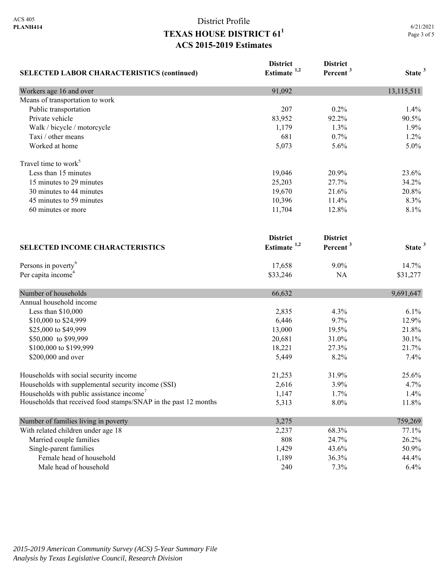### District Profile **TEXAS HOUSE DISTRICT 611 ACS 2015-2019 Estimates**

| <b>SELECTED LABOR CHARACTERISTICS (continued)</b>               | <b>District</b><br>Estimate <sup>1,2</sup> | <b>District</b><br>Percent <sup>3</sup> | State <sup>3</sup> |
|-----------------------------------------------------------------|--------------------------------------------|-----------------------------------------|--------------------|
| Workers age 16 and over                                         | 91,092                                     |                                         | 13,115,511         |
| Means of transportation to work                                 |                                            |                                         |                    |
| Public transportation                                           | 207                                        | 0.2%                                    | 1.4%               |
| Private vehicle                                                 | 83,952                                     | 92.2%                                   | 90.5%              |
| Walk / bicycle / motorcycle                                     | 1,179                                      | 1.3%                                    | 1.9%               |
| Taxi / other means                                              | 681                                        | 0.7%                                    | 1.2%               |
| Worked at home                                                  | 5,073                                      | 5.6%                                    | 5.0%               |
| Travel time to work <sup>3</sup>                                |                                            |                                         |                    |
| Less than 15 minutes                                            | 19,046                                     | 20.9%                                   | 23.6%              |
| 15 minutes to 29 minutes                                        | 25,203                                     | 27.7%                                   | 34.2%              |
| 30 minutes to 44 minutes                                        | 19,670                                     | 21.6%                                   | 20.8%              |
| 45 minutes to 59 minutes                                        | 10,396                                     | 11.4%                                   | 8.3%               |
| 60 minutes or more                                              | 11,704                                     | 12.8%                                   | 8.1%               |
| <b>SELECTED INCOME CHARACTERISTICS</b>                          | <b>District</b><br>Estimate <sup>1,2</sup> | <b>District</b><br>Percent <sup>3</sup> | State <sup>3</sup> |
| Persons in poverty <sup>6</sup>                                 | 17,658                                     | 9.0%                                    | 14.7%              |
| Per capita income <sup>4</sup>                                  | \$33,246                                   | NA                                      | \$31,277           |
| Number of households                                            | 66,632                                     |                                         | 9,691,647          |
| Annual household income                                         |                                            |                                         |                    |
| Less than \$10,000                                              | 2,835                                      | 4.3%                                    | 6.1%               |
| \$10,000 to \$24,999                                            | 6,446                                      | 9.7%                                    | 12.9%              |
| \$25,000 to \$49,999                                            | 13,000                                     | 19.5%                                   | 21.8%              |
| \$50,000 to \$99,999                                            | 20,681                                     | 31.0%                                   | 30.1%              |
| \$100,000 to \$199,999                                          | 18,221                                     | 27.3%                                   | 21.7%              |
| \$200,000 and over                                              | 5,449                                      | 8.2%                                    | 7.4%               |
| Households with social security income                          | 21,253                                     | 31.9%                                   | 25.6%              |
| Households with supplemental security income (SSI)              | 2,616                                      | 3.9%                                    | 4.7%               |
| Households with public assistance income <sup>7</sup>           | 1,147                                      | 1.7%                                    | 1.4%               |
| Households that received food stamps/SNAP in the past 12 months | 5,313                                      | 8.0%                                    | 11.8%              |
| Number of families living in poverty                            | 3,275                                      |                                         | 759,269            |
| With related children under age 18                              | 2,237                                      | 68.3%                                   | 77.1%              |
| Married couple families                                         | 808                                        | 24.7%                                   | 26.2%              |
| Single-parent families                                          | 1,429                                      | 43.6%                                   | 50.9%              |
| Female head of household                                        | 1,189                                      | 36.3%                                   | 44.4%              |
| Male head of household                                          | 240                                        | 7.3%                                    | 6.4%               |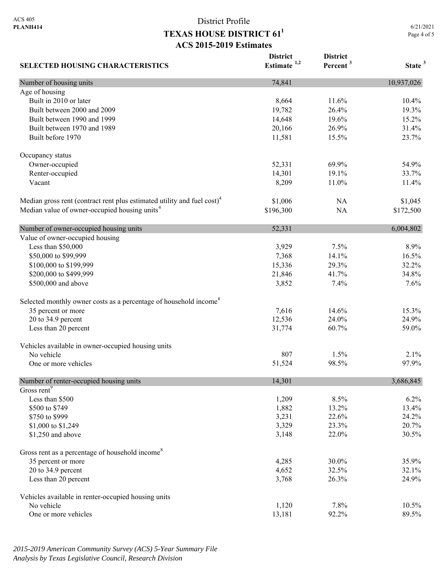# District Profile **TEXAS HOUSE DISTRICT 611 ACS 2015-2019 Estimates**

6/21/2021 Page 4 of 5

| <b>SELECTED HOUSING CHARACTERISTICS</b>                                             | <b>District</b><br>Estimate $1,2$ | <b>District</b><br>Percent <sup>3</sup> | State <sup>3</sup> |
|-------------------------------------------------------------------------------------|-----------------------------------|-----------------------------------------|--------------------|
| Number of housing units                                                             | 74,841                            |                                         | 10,937,026         |
| Age of housing                                                                      |                                   |                                         |                    |
| Built in 2010 or later                                                              | 8,664                             | 11.6%                                   | 10.4%              |
| Built between 2000 and 2009                                                         | 19,782                            | 26.4%                                   | 19.3%              |
| Built between 1990 and 1999                                                         | 14,648                            | 19.6%                                   | 15.2%              |
| Built between 1970 and 1989                                                         | 20,166                            | 26.9%                                   | 31.4%              |
| Built before 1970                                                                   | 11,581                            | 15.5%                                   | 23.7%              |
| Occupancy status                                                                    |                                   |                                         |                    |
| Owner-occupied                                                                      | 52,331                            | 69.9%                                   | 54.9%              |
| Renter-occupied                                                                     | 14,301                            | 19.1%                                   | 33.7%              |
| Vacant                                                                              | 8,209                             | 11.0%                                   | 11.4%              |
| Median gross rent (contract rent plus estimated utility and fuel cost) <sup>4</sup> | \$1,006                           | NA                                      | \$1,045            |
| Median value of owner-occupied housing units <sup>4</sup>                           | \$196,300                         | <b>NA</b>                               | \$172,500          |
| Number of owner-occupied housing units                                              | 52,331                            |                                         | 6,004,802          |
| Value of owner-occupied housing                                                     |                                   |                                         |                    |
| Less than \$50,000                                                                  | 3,929                             | 7.5%                                    | 8.9%               |
| \$50,000 to \$99,999                                                                | 7,368                             | 14.1%                                   | 16.5%              |
| \$100,000 to \$199,999                                                              | 15,336                            | 29.3%                                   | 32.2%              |
| \$200,000 to \$499,999                                                              | 21,846                            | 41.7%                                   | 34.8%              |
| \$500,000 and above                                                                 | 3,852                             | 7.4%                                    | 7.6%               |
| Selected monthly owner costs as a percentage of household income <sup>8</sup>       |                                   |                                         |                    |
| 35 percent or more                                                                  | 7,616                             | 14.6%                                   | 15.3%              |
| 20 to 34.9 percent                                                                  | 12,536                            | 24.0%                                   | 24.9%              |
| Less than 20 percent                                                                | 31,774                            | 60.7%                                   | 59.0%              |
| Vehicles available in owner-occupied housing units                                  |                                   |                                         |                    |
| No vehicle                                                                          | 807                               | 1.5%                                    | 2.1%               |
| One or more vehicles                                                                | 51,524                            | 98.5%                                   | 97.9%              |
| Number of renter-occupied housing units                                             | 14,301                            |                                         | 3,686,845          |
| Gross rent <sup>9</sup>                                                             |                                   |                                         |                    |
| Less than \$500                                                                     | 1,209                             | 8.5%                                    | 6.2%               |
| \$500 to \$749                                                                      | 1,882                             | 13.2%                                   | 13.4%              |
| \$750 to \$999                                                                      | 3,231                             | 22.6%                                   | 24.2%              |
| \$1,000 to \$1,249                                                                  | 3,329                             | 23.3%                                   | 20.7%              |
| \$1,250 and above                                                                   | 3,148                             | 22.0%                                   | 30.5%              |
| Gross rent as a percentage of household income <sup>8</sup>                         |                                   |                                         |                    |
| 35 percent or more                                                                  | 4,285                             | 30.0%                                   | 35.9%              |
| 20 to 34.9 percent                                                                  | 4,652                             | 32.5%                                   | 32.1%              |
| Less than 20 percent                                                                | 3,768                             | 26.3%                                   | 24.9%              |
| Vehicles available in renter-occupied housing units                                 |                                   |                                         |                    |
| No vehicle                                                                          | 1,120                             | 7.8%                                    | 10.5%              |
| One or more vehicles                                                                | 13,181                            | 92.2%                                   | 89.5%              |